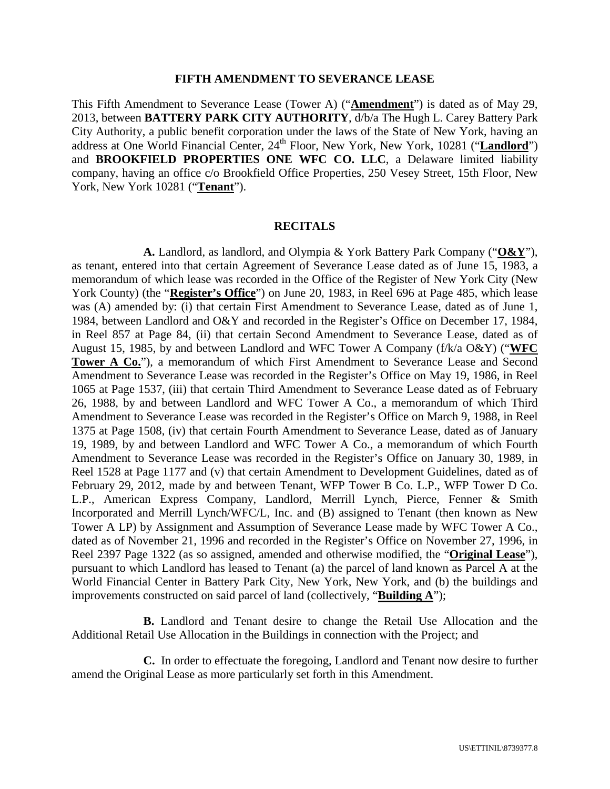#### **FIFTH AMENDMENT TO SEVERANCE LEASE**

This Fifth Amendment to Severance Lease (Tower A) ("**Amendment**") is dated as of May 29, 2013, between **BATTERY PARK CITY AUTHORITY**, d/b/a The Hugh L. Carey Battery Park City Authority, a public benefit corporation under the laws of the State of New York, having an address at One World Financial Center, 24<sup>th</sup> Floor, New York, New York, 10281 ("Landlord") and **BROOKFIELD PROPERTIES ONE WFC CO. LLC**, a Delaware limited liability company, having an office c/o Brookfield Office Properties, 250 Vesey Street, 15th Floor, New York, New York 10281 ("**Tenant**").

#### **RECITALS**

**A.** Landlord, as landlord, and Olympia & York Battery Park Company ("**O&Y**"), as tenant, entered into that certain Agreement of Severance Lease dated as of June 15, 1983, a memorandum of which lease was recorded in the Office of the Register of New York City (New York County) (the "**Register's Office**") on June 20, 1983, in Reel 696 at Page 485, which lease was (A) amended by: (i) that certain First Amendment to Severance Lease, dated as of June 1, 1984, between Landlord and O&Y and recorded in the Register's Office on December 17, 1984, in Reel 857 at Page 84, (ii) that certain Second Amendment to Severance Lease, dated as of August 15, 1985, by and between Landlord and WFC Tower A Company (f/k/a O&Y) ("**WFC Tower A Co.**"), a memorandum of which First Amendment to Severance Lease and Second Amendment to Severance Lease was recorded in the Register's Office on May 19, 1986, in Reel 1065 at Page 1537, (iii) that certain Third Amendment to Severance Lease dated as of February 26, 1988, by and between Landlord and WFC Tower A Co., a memorandum of which Third Amendment to Severance Lease was recorded in the Register's Office on March 9, 1988, in Reel 1375 at Page 1508, (iv) that certain Fourth Amendment to Severance Lease, dated as of January 19, 1989, by and between Landlord and WFC Tower A Co., a memorandum of which Fourth Amendment to Severance Lease was recorded in the Register's Office on January 30, 1989, in Reel 1528 at Page 1177 and (v) that certain Amendment to Development Guidelines, dated as of February 29, 2012, made by and between Tenant, WFP Tower B Co. L.P., WFP Tower D Co. L.P., American Express Company, Landlord, Merrill Lynch, Pierce, Fenner & Smith Incorporated and Merrill Lynch/WFC/L, Inc. and (B) assigned to Tenant (then known as New Tower A LP) by Assignment and Assumption of Severance Lease made by WFC Tower A Co., dated as of November 21, 1996 and recorded in the Register's Office on November 27, 1996, in Reel 2397 Page 1322 (as so assigned, amended and otherwise modified, the "**Original Lease**"), pursuant to which Landlord has leased to Tenant (a) the parcel of land known as Parcel A at the World Financial Center in Battery Park City, New York, New York, and (b) the buildings and improvements constructed on said parcel of land (collectively, "**Building A**");

**B.** Landlord and Tenant desire to change the Retail Use Allocation and the Additional Retail Use Allocation in the Buildings in connection with the Project; and

**C.** In order to effectuate the foregoing, Landlord and Tenant now desire to further amend the Original Lease as more particularly set forth in this Amendment.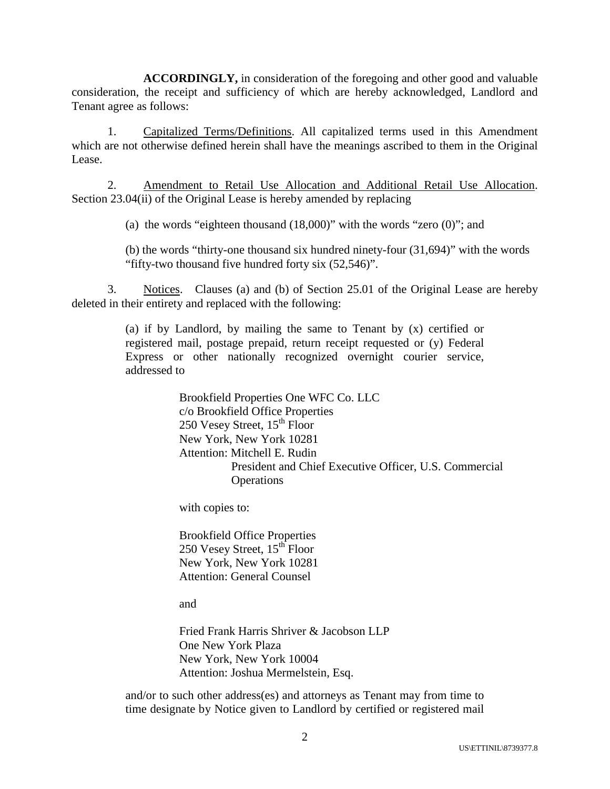**ACCORDINGLY,** in consideration of the foregoing and other good and valuable consideration, the receipt and sufficiency of which are hereby acknowledged, Landlord and Tenant agree as follows:

1. Capitalized Terms/Definitions. All capitalized terms used in this Amendment which are not otherwise defined herein shall have the meanings ascribed to them in the Original Lease.

2. Amendment to Retail Use Allocation and Additional Retail Use Allocation. Section 23.04(ii) of the Original Lease is hereby amended by replacing

(a) the words "eighteen thousand (18,000)" with the words "zero (0)"; and

(b) the words "thirty-one thousand six hundred ninety-four (31,694)" with the words "fifty-two thousand five hundred forty six (52,546)".

3. Notices. Clauses (a) and (b) of Section 25.01 of the Original Lease are hereby deleted in their entirety and replaced with the following:

> (a) if by Landlord, by mailing the same to Tenant by (x) certified or registered mail, postage prepaid, return receipt requested or (y) Federal Express or other nationally recognized overnight courier service, addressed to

> > Brookfield Properties One WFC Co. LLC c/o Brookfield Office Properties 250 Vesey Street,  $15<sup>th</sup>$  Floor New York, New York 10281 Attention: Mitchell E. Rudin President and Chief Executive Officer, U.S. Commercial **Operations**

with copies to:

Brookfield Office Properties 250 Vesey Street,  $15<sup>th</sup>$  Floor New York, New York 10281 Attention: General Counsel

and

Fried Frank Harris Shriver & Jacobson LLP One New York Plaza New York, New York 10004 Attention: Joshua Mermelstein, Esq.

and/or to such other address(es) and attorneys as Tenant may from time to time designate by Notice given to Landlord by certified or registered mail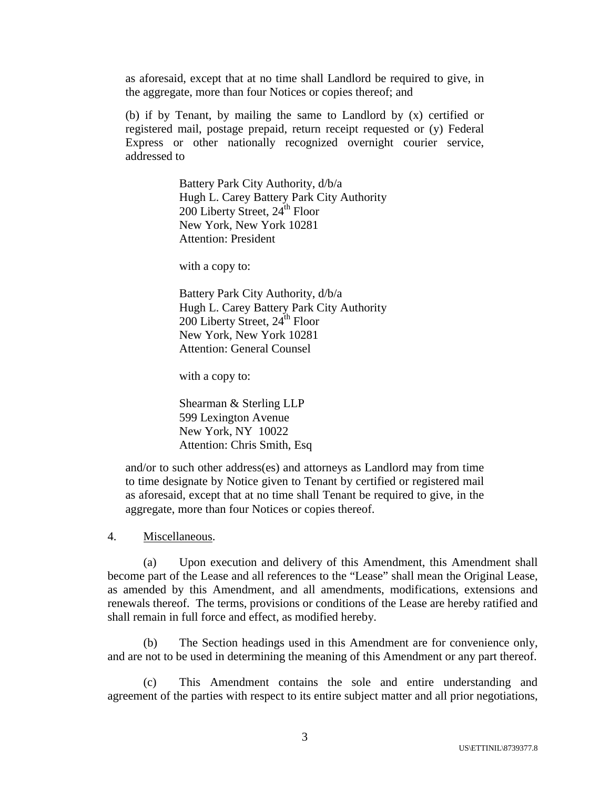as aforesaid, except that at no time shall Landlord be required to give, in the aggregate, more than four Notices or copies thereof; and

(b) if by Tenant, by mailing the same to Landlord by (x) certified or registered mail, postage prepaid, return receipt requested or (y) Federal Express or other nationally recognized overnight courier service, addressed to

> Battery Park City Authority, d/b/a Hugh L. Carey Battery Park City Authority  $200$  Liberty Street,  $24^{\text{th}}$  Floor New York, New York 10281 Attention: President

with a copy to:

Battery Park City Authority, d/b/a Hugh L. Carey Battery Park City Authority 200 Liberty Street, 24<sup>th</sup> Floor New York, New York 10281 Attention: General Counsel

with a copy to:

Shearman & Sterling LLP 599 Lexington Avenue New York, NY 10022 Attention: Chris Smith, Esq

and/or to such other address(es) and attorneys as Landlord may from time to time designate by Notice given to Tenant by certified or registered mail as aforesaid, except that at no time shall Tenant be required to give, in the aggregate, more than four Notices or copies thereof.

4. Miscellaneous.

(a) Upon execution and delivery of this Amendment, this Amendment shall become part of the Lease and all references to the "Lease" shall mean the Original Lease, as amended by this Amendment, and all amendments, modifications, extensions and renewals thereof. The terms, provisions or conditions of the Lease are hereby ratified and shall remain in full force and effect, as modified hereby.

(b) The Section headings used in this Amendment are for convenience only, and are not to be used in determining the meaning of this Amendment or any part thereof.

(c) This Amendment contains the sole and entire understanding and agreement of the parties with respect to its entire subject matter and all prior negotiations,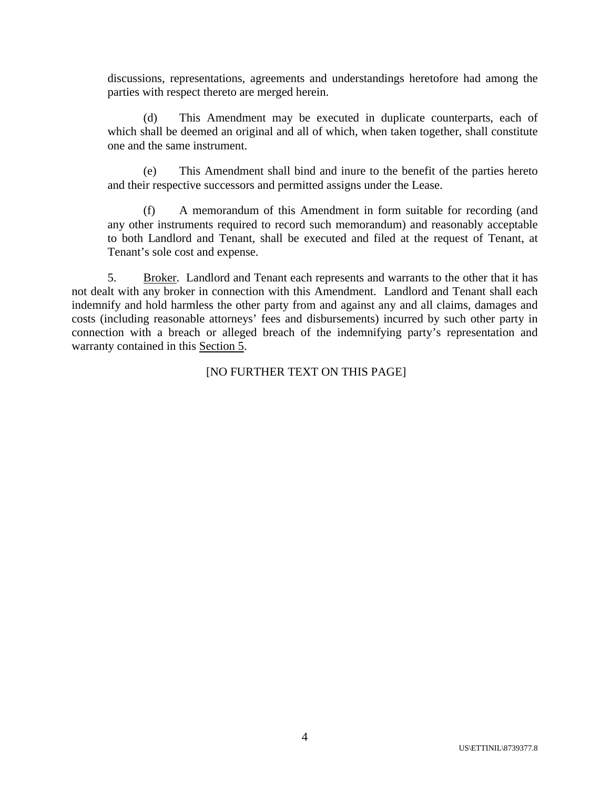discussions, representations, agreements and understandings heretofore had among the parties with respect thereto are merged herein.

(d) This Amendment may be executed in duplicate counterparts, each of which shall be deemed an original and all of which, when taken together, shall constitute one and the same instrument.

(e) This Amendment shall bind and inure to the benefit of the parties hereto and their respective successors and permitted assigns under the Lease.

(f) A memorandum of this Amendment in form suitable for recording (and any other instruments required to record such memorandum) and reasonably acceptable to both Landlord and Tenant, shall be executed and filed at the request of Tenant, at Tenant's sole cost and expense.

5. Broker. Landlord and Tenant each represents and warrants to the other that it has not dealt with any broker in connection with this Amendment. Landlord and Tenant shall each indemnify and hold harmless the other party from and against any and all claims, damages and costs (including reasonable attorneys' fees and disbursements) incurred by such other party in connection with a breach or alleged breach of the indemnifying party's representation and warranty contained in this Section 5.

[NO FURTHER TEXT ON THIS PAGE]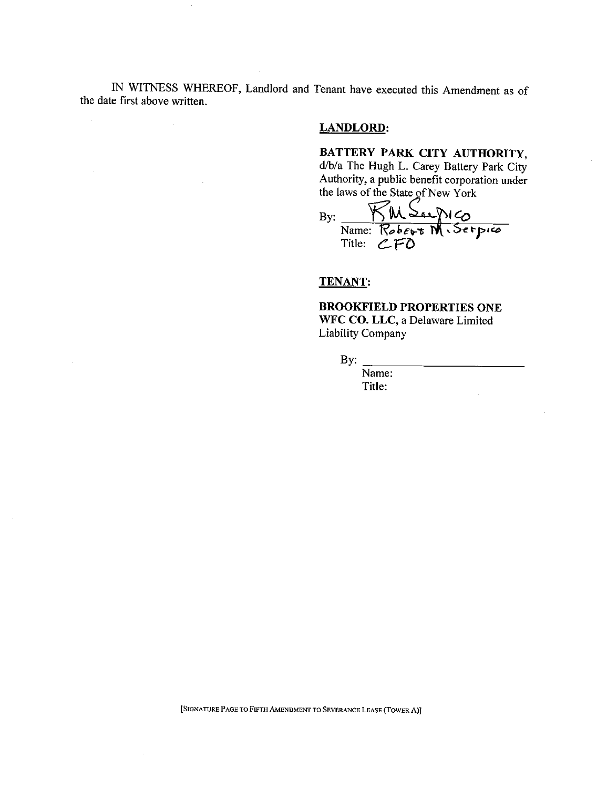**1N** WITNESS WHEREOF, Landlord and Tenant have executed this Amendment as of the date first above written.

### LANDLORD:

# **BATTERY PARK** CITY AUTHORITY,

d/b/a **The** Hugh L. Carey **Battery Park** City Authority, a public benefit corporation under the laws of the State of New York

 $\frac{\overbrace{\text{KMS}}\text{A}}{\text{Name: } \text{Robert } \textbf{M} \cdot \text{Set}}$ By:

## **TENANT:**

### BROOKFIELD **PROPERTIES** ONE **WFC** CO. LLC, a Delaware Limited Liability Company

By:

Name; Title:

[SIGNATURE PAGE **TO** FIFTH AMENDMENT TO SEVERANCE LEASE (TOWER **A)]**